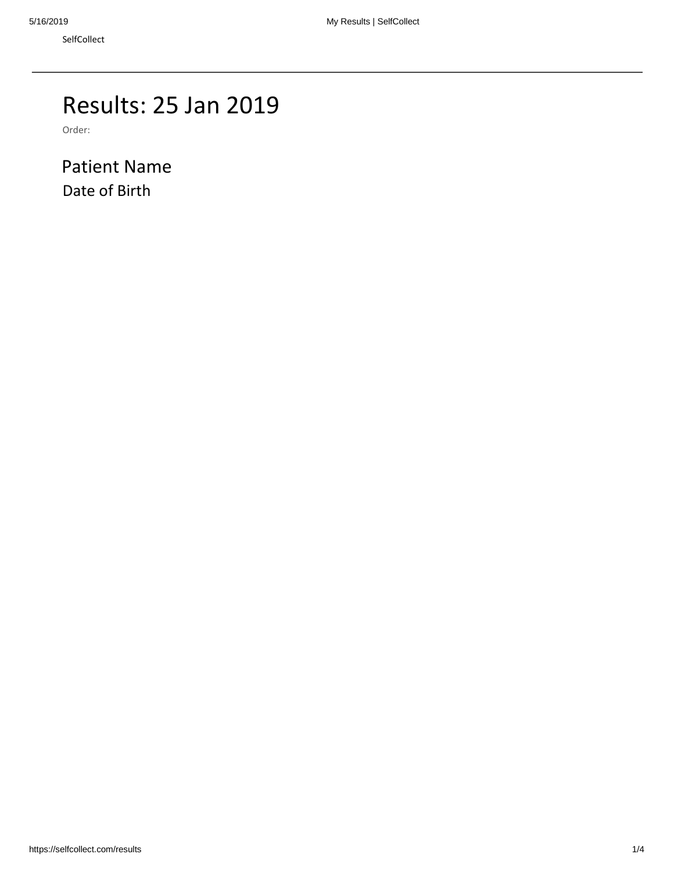# Results: 25 Jan 2019

Order:

Patient Name Date of Birth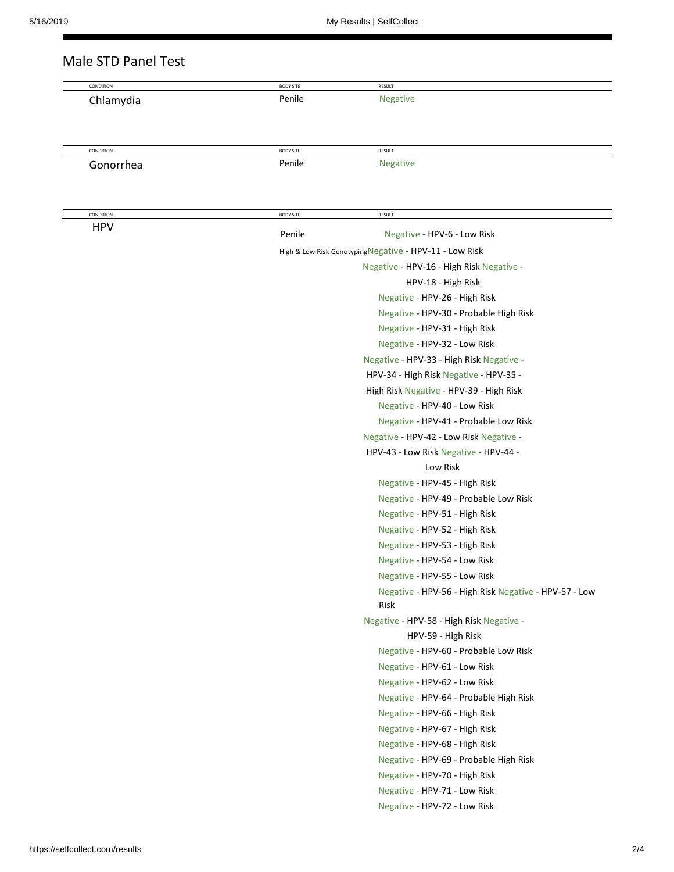| CONDITION  | <b>BODY SITE</b>                         | RESULT                                                        |  |
|------------|------------------------------------------|---------------------------------------------------------------|--|
| Chlamydia  | Penile                                   | <b>Negative</b>                                               |  |
| CONDITION  | <b>BODY SITE</b>                         | RESULT                                                        |  |
| Gonorrhea  | Penile                                   | <b>Negative</b>                                               |  |
| CONDITION  | <b>BODY SITE</b>                         | RESULT                                                        |  |
| <b>HPV</b> | Penile                                   | Negative - HPV-6 - Low Risk                                   |  |
|            |                                          | High & Low Risk Genotyping Negative - HPV-11 - LOW Risk       |  |
|            | Negative - HPV-16 - High Risk Negative - |                                                               |  |
|            |                                          | HPV-18 - High Risk                                            |  |
|            |                                          | Negative - HPV-26 - High Risk                                 |  |
|            |                                          | Negative - HPV-30 - Probable High Risk                        |  |
|            |                                          | Negative - HPV-31 - High Risk                                 |  |
|            |                                          | Negative - HPV-32 - Low Risk                                  |  |
|            |                                          | Negative - HPV-33 - High Risk Negative -                      |  |
|            |                                          | HPV-34 - High Risk Negative - HPV-35 -                        |  |
|            |                                          | High Risk Negative - HPV-39 - High Risk                       |  |
|            |                                          | Negative - HPV-40 - Low Risk                                  |  |
|            |                                          | Negative - HPV-41 - Probable Low Risk                         |  |
|            |                                          | Negative - HPV-42 - Low Risk Negative -                       |  |
|            |                                          | HPV-43 - Low Risk Negative - HPV-44 -                         |  |
|            |                                          | Low Risk                                                      |  |
|            |                                          | Negative - HPV-45 - High Risk                                 |  |
|            |                                          | Negative - HPV-49 - Probable Low Risk                         |  |
|            |                                          | Negative - HPV-51 - High Risk                                 |  |
|            |                                          | Negative - HPV-52 - High Risk                                 |  |
|            |                                          | Negative - HPV-53 - High Risk                                 |  |
|            |                                          | Negative - HPV-54 - Low Risk                                  |  |
|            |                                          | Negative - HPV-55 - Low Risk                                  |  |
|            |                                          | Negative - HPV-56 - High Risk Negative - HPV-57 - Low<br>Risk |  |
|            |                                          | Negative - HPV-58 - High Risk Negative -                      |  |
|            |                                          | HPV-59 - High Risk                                            |  |
|            |                                          | Negative - HPV-60 - Probable Low Risk                         |  |
|            |                                          | Negative - HPV-61 - Low Risk                                  |  |
|            |                                          | Negative - HPV-62 - Low Risk                                  |  |
|            |                                          | Negative - HPV-64 - Probable High Risk                        |  |
|            |                                          | Negative - HPV-66 - High Risk                                 |  |
|            |                                          | Negative - HPV-67 - High Risk                                 |  |
|            |                                          | Negative - HPV-68 - High Risk                                 |  |
|            |                                          | Negative - HPV-69 - Probable High Risk                        |  |
|            |                                          | Negative - HPV-70 - High Risk                                 |  |
|            |                                          | Negative - HPV-71 - Low Risk                                  |  |
|            |                                          | Negative - HPV-72 - Low Risk                                  |  |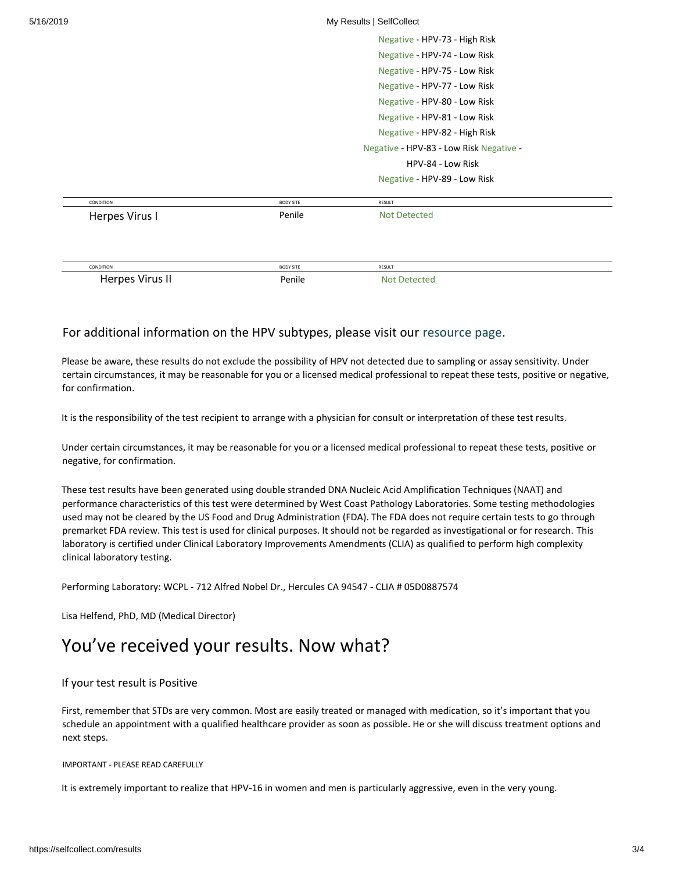| 5/16/2019      | My Results   SelfCollect<br>Negative - HPV-73 - High Risk<br>Negative - HPV-74 - Low Risk<br>Negative - HPV-75 - Low Risk<br>Negative - HPV-77 - Low Risk<br>Negative - HPV-80 - Low Risk<br>Negative - HPV-81 - Low Risk<br>Negative - HPV-82 - High Risk<br>Negative - HPV-83 - Low Risk Negative -<br>HPV-84 - Low Risk |  |  |        |                     |                  |                              |
|----------------|----------------------------------------------------------------------------------------------------------------------------------------------------------------------------------------------------------------------------------------------------------------------------------------------------------------------------|--|--|--------|---------------------|------------------|------------------------------|
|                |                                                                                                                                                                                                                                                                                                                            |  |  |        |                     |                  |                              |
|                |                                                                                                                                                                                                                                                                                                                            |  |  |        |                     |                  |                              |
|                |                                                                                                                                                                                                                                                                                                                            |  |  |        |                     |                  |                              |
|                |                                                                                                                                                                                                                                                                                                                            |  |  |        |                     |                  | Negative - HPV-89 - Low Risk |
|                |                                                                                                                                                                                                                                                                                                                            |  |  |        | CONDITION           | <b>BODY SITE</b> | RESULT                       |
| Herpes Virus I |                                                                                                                                                                                                                                                                                                                            |  |  | Penile | <b>Not Detected</b> |                  |                              |
|                |                                                                                                                                                                                                                                                                                                                            |  |  |        |                     |                  |                              |
|                |                                                                                                                                                                                                                                                                                                                            |  |  |        |                     |                  |                              |
|                |                                                                                                                                                                                                                                                                                                                            |  |  |        |                     |                  |                              |

# For additional information on the HPV subtypes, please visit our [resource page.](https://selfcollect.com/content/hpv)

Herpes Virus II **Not Detected Penile** Not Detected

CONDITION BODY SITE RESULT

Please be aware, these results do not exclude the possibility of HPV not detected due to sampling or assay sensitivity. Under certain circumstances, it may be reasonable for you or a licensed medical professional to repeat these tests, positive or negative, for confirmation.

It is the responsibility of the test recipient to arrange with a physician for consult or interpretation of these test results.

Under certain circumstances, it may be reasonable for you or a licensed medical professional to repeat these tests, positive or negative, for confirmation.

These test results have been generated using double stranded DNA Nucleic Acid Amplification Techniques (NAAT) and performance characteristics of this test were determined by West Coast Pathology Laboratories. Some testing methodologies used may not be cleared by the US Food and Drug Administration (FDA). The FDA does not require certain tests to go through premarket FDA review. This test is used for clinical purposes. It should not be regarded as investigational or for research. This laboratory is certified under Clinical Laboratory Improvements Amendments (CLIA) as qualified to perform high complexity clinical laboratory testing.

Performing Laboratory: WCPL - 712 Alfred Nobel Dr., Hercules CA 94547 - CLIA # 05D0887574

Lisa Helfend, PhD, MD (Medical Director)

# You've received your results. Now what?

## If your test result is Positive

First, remember that STDs are very common. Most are easily treated or managed with medication, so it's important that you schedule an appointment with a qualified healthcare provider as soon as possible. He or she will discuss treatment options and next steps.

#### IMPORTANT - PLEASE READ CAREFULLY

It is extremely important to realize that HPV-16 in women and men is particularly aggressive, even in the very young.